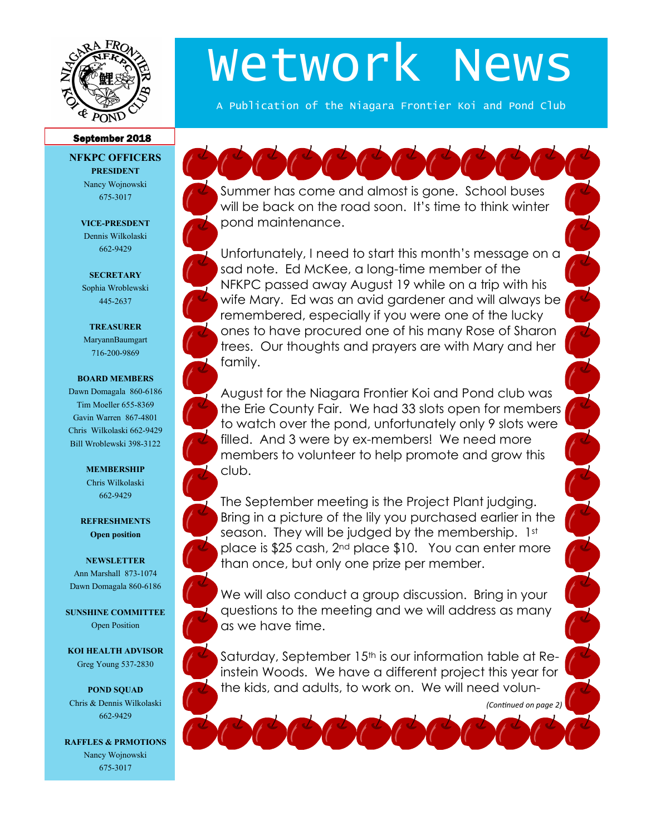

# Wetwork News

A Publication of the Niagara Frontier Koi and Pond Club

### September 2018

**NFKPC OFFICERS PRESIDENT** Nancy Wojnowski

675-3017

**VICE-PRESDENT** Dennis Wilkolaski 662-9429

**SECRETARY** Sophia Wroblewski 445-2637

#### **TREASURER**

MaryannBaumgart 716-200-9869

#### **BOARD MEMBERS**

Dawn Domagala 860-6186 Tim Moeller 655-8369 Gavin Warren 867-4801 Chris Wilkolaski 662-9429 Bill Wroblewski 398-3122

#### **MEMBERSHIP** Chris Wilkolaski 662-9429

**REFRESHMENTS Open position**

## **NEWSLETTER** Ann Marshall 873-1074 Dawn Domagala 860-6186

**SUNSHINE COMMITTEE** Open Position

**KOI HEALTH ADVISOR** Greg Young 537-2830

**POND SQUAD** Chris & Dennis Wilkolaski 662-9429

**RAFFLES & PRMOTIONS** Nancy Wojnowski 675-3017

Summer has come and almost is gone. School buses will be back on the road soon. It's time to think winter pond maintenance.

Unfortunately, I need to start this month's message on a sad note. Ed McKee, a long-time member of the NFKPC passed away August 19 while on a trip with his wife Mary. Ed was an avid gardener and will always be remembered, especially if you were one of the lucky ones to have procured one of his many Rose of Sharon trees. Our thoughts and prayers are with Mary and her family.

August for the Niagara Frontier Koi and Pond club was the Erie County Fair. We had 33 slots open for members to watch over the pond, unfortunately only 9 slots were filled. And 3 were by ex-members! We need more members to volunteer to help promote and grow this club.

The September meeting is the Project Plant judging. Bring in a picture of the lily you purchased earlier in the season. They will be judged by the membership. 1st place is \$25 cash, 2nd place \$10. You can enter more than once, but only one prize per member.

We will also conduct a group discussion. Bring in your questions to the meeting and we will address as many as we have time.

Saturday, September 15<sup>th</sup> is our information table at Reinstein Woods. We have a different project this year for the kids, and adults, to work on. We will need volun-

*(Continued on page 2)*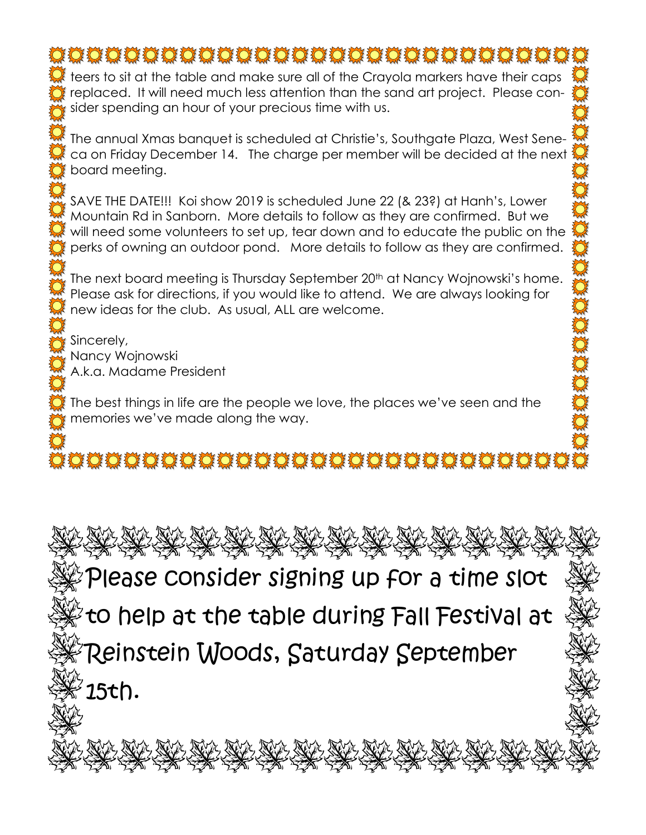## **IOOOOOOOOOOOOOOOOOOOOOOOOOOOO**

teers to sit at the table and make sure all of the Crayola markers have their caps replaced. It will need much less attention than the sand art project. Please consider spending an hour of your precious time with us.

The annual Xmas banquet is scheduled at Christie's, Southgate Plaza, West Seneca on Friday December 14. The charge per member will be decided at the next board meeting.

SAVE THE DATE!!! Koi show 2019 is scheduled June 22 (& 23?) at Hanh's, Lower Mountain Rd in Sanborn. More details to follow as they are confirmed. But we will need some volunteers to set up, tear down and to educate the public on the perks of owning an outdoor pond. More details to follow as they are confirmed.

The next board meeting is Thursday September 20<sup>th</sup> at Nancy Wojnowski's home. Please ask for directions, if you would like to attend. We are always looking for new ideas for the club. As usual, ALL are welcome.

Sincerely, Nancy Wojnowski A.k.a. Madame President

The best things in life are the people we love, the places we've seen and the memories we've made along the way.

## 

NY NY NY NY NY NY NY NY NY NY Please consider signing up for a time slot to help at the table during Fall Festival at Reinstein Woods, Saturday September 15th.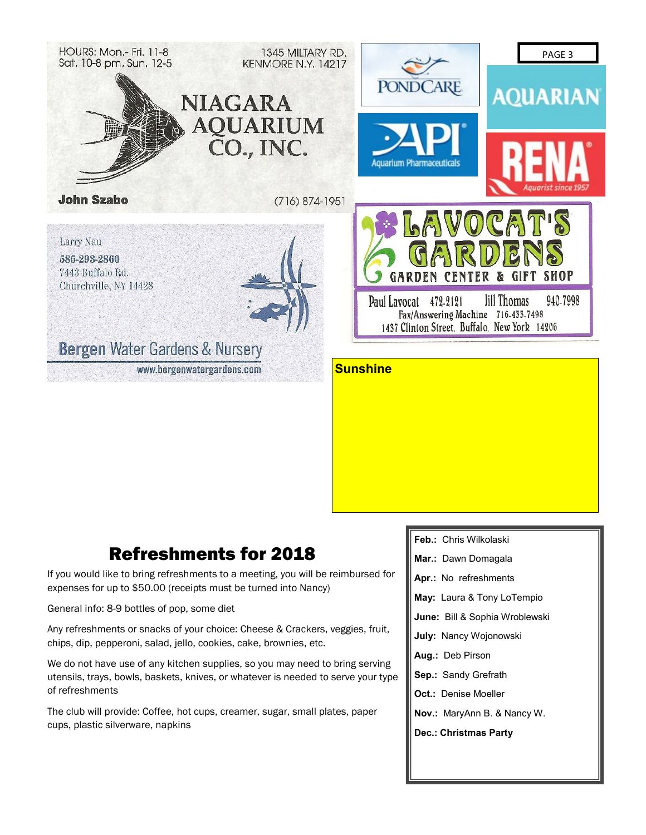

## Refreshments for 2018

If you would like to bring refreshments to a meeting, you will be reimbursed for expenses for up to \$50.00 (receipts must be turned into Nancy)

General info: 8-9 bottles of pop, some diet

Any refreshments or snacks of your choice: Cheese & Crackers, veggies, fruit, chips, dip, pepperoni, salad, jello, cookies, cake, brownies, etc.

We do not have use of any kitchen supplies, so you may need to bring serving utensils, trays, bowls, baskets, knives, or whatever is needed to serve your type of refreshments

The club will provide: Coffee, hot cups, creamer, sugar, small plates, paper cups, plastic silverware, napkins

**Feb.:** Chris Wilkolaski **Mar.:** Dawn Domagala **Apr.:** No refreshments **May:** Laura & Tony LoTempio **June:** Bill & Sophia Wroblewski **July:** Nancy Wojonowski **Aug.:** Deb Pirson **Sep.:** Sandy Grefrath **Oct.:** Denise Moeller **Nov.:** MaryAnn B. & Nancy W. **Dec.: Christmas Party**